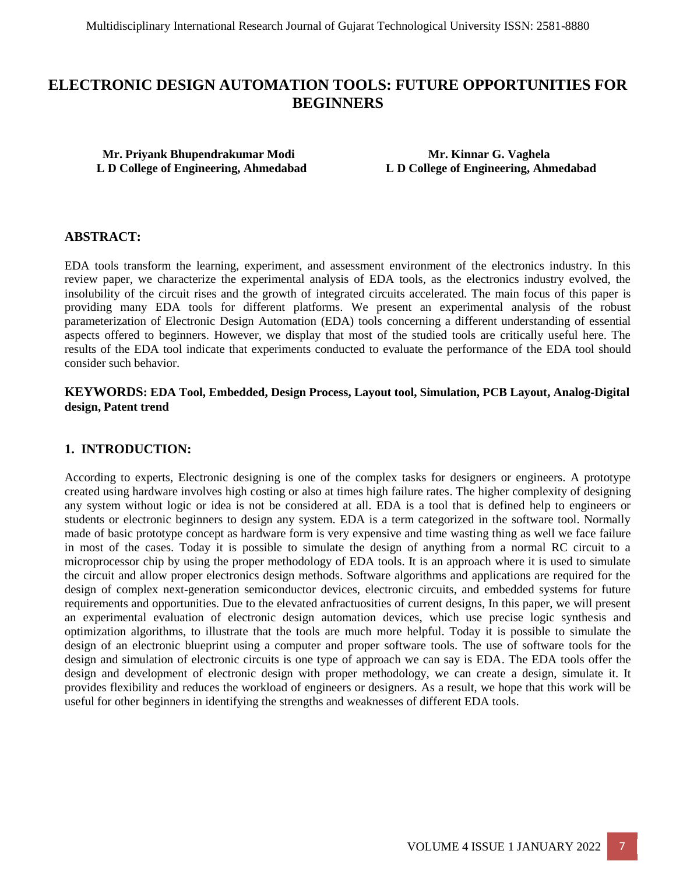# **ELECTRONIC DESIGN AUTOMATION TOOLS: FUTURE OPPORTUNITIES FOR BEGINNERS**

 **Mr. Priyank Bhupendrakumar Modi Mr. Kinnar G. Vaghela** 

 **L D College of Engineering, Ahmedabad L D College of Engineering, Ahmedabad**

#### **ABSTRACT:**

EDA tools transform the learning, experiment, and assessment environment of the electronics industry. In this review paper, we characterize the experimental analysis of EDA tools, as the electronics industry evolved, the insolubility of the circuit rises and the growth of integrated circuits accelerated. The main focus of this paper is providing many EDA tools for different platforms. We present an experimental analysis of the robust parameterization of Electronic Design Automation (EDA) tools concerning a different understanding of essential aspects offered to beginners. However, we display that most of the studied tools are critically useful here. The results of the EDA tool indicate that experiments conducted to evaluate the performance of the EDA tool should consider such behavior.

#### **KEYWORDS: EDA Tool, Embedded, Design Process, Layout tool, Simulation, PCB Layout, Analog-Digital design, Patent trend**

#### **1. INTRODUCTION:**

According to experts, Electronic designing is one of the complex tasks for designers or engineers. A prototype created using hardware involves high costing or also at times high failure rates. The higher complexity of designing any system without logic or idea is not be considered at all. EDA is a tool that is defined help to engineers or students or electronic beginners to design any system. EDA is a term categorized in the software tool. Normally made of basic prototype concept as hardware form is very expensive and time wasting thing as well we face failure in most of the cases. Today it is possible to simulate the design of anything from a normal RC circuit to a microprocessor chip by using the proper methodology of EDA tools. It is an approach where it is used to simulate the circuit and allow proper electronics design methods. Software algorithms and applications are required for the design of complex next-generation semiconductor devices, electronic circuits, and embedded systems for future requirements and opportunities. Due to the elevated anfractuosities of current designs, In this paper, we will present an experimental evaluation of electronic design automation devices, which use precise logic synthesis and optimization algorithms, to illustrate that the tools are much more helpful. Today it is possible to simulate the design of an electronic blueprint using a computer and proper software tools. The use of software tools for the design and simulation of electronic circuits is one type of approach we can say is EDA. The EDA tools offer the design and development of electronic design with proper methodology, we can create a design, simulate it. It provides flexibility and reduces the workload of engineers or designers. As a result, we hope that this work will be useful for other beginners in identifying the strengths and weaknesses of different EDA tools.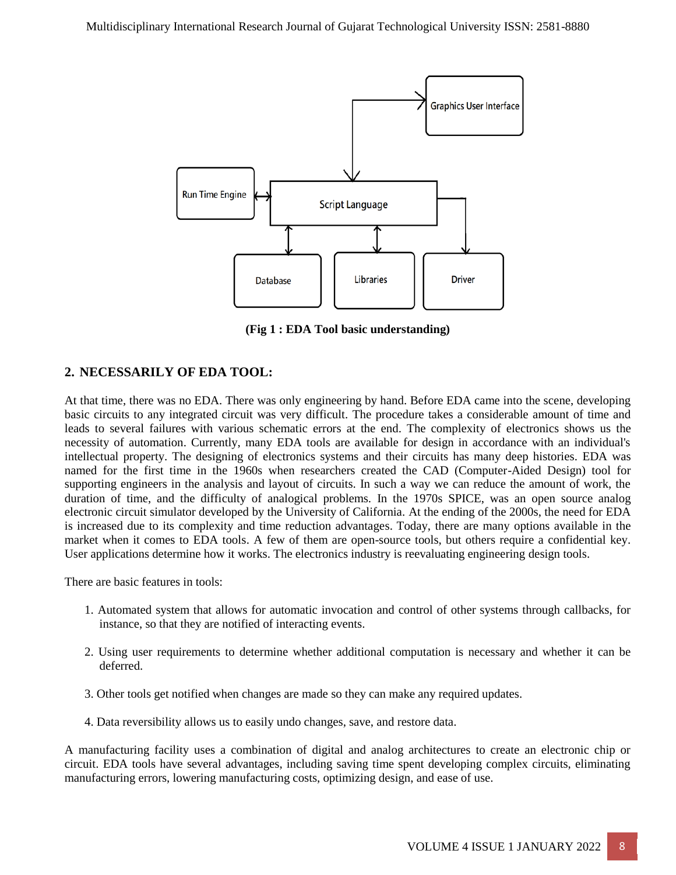

**(Fig 1 : EDA Tool basic understanding)**

# **2. NECESSARILY OF EDA TOOL:**

At that time, there was no EDA. There was only engineering by hand. Before EDA came into the scene, developing basic circuits to any integrated circuit was very difficult. The procedure takes a considerable amount of time and leads to several failures with various schematic errors at the end. The complexity of electronics shows us the necessity of automation. Currently, many EDA tools are available for design in accordance with an individual's intellectual property. The designing of electronics systems and their circuits has many deep histories. EDA was named for the first time in the 1960s when researchers created the CAD (Computer-Aided Design) tool for supporting engineers in the analysis and layout of circuits. In such a way we can reduce the amount of work, the duration of time, and the difficulty of analogical problems. In the 1970s SPICE, was an open source analog electronic circuit simulator developed by the University of California. At the ending of the 2000s, the need for EDA is increased due to its complexity and time reduction advantages. Today, there are many options available in the market when it comes to EDA tools. A few of them are open-source tools, but others require a confidential key. User applications determine how it works. The electronics industry is reevaluating engineering design tools.

There are basic features in tools:

- 1. Automated system that allows for automatic invocation and control of other systems through callbacks, for instance, so that they are notified of interacting events.
- 2. Using user requirements to determine whether additional computation is necessary and whether it can be deferred.
- 3. Other tools get notified when changes are made so they can make any required updates.
- 4. Data reversibility allows us to easily undo changes, save, and restore data.

A manufacturing facility uses a combination of digital and analog architectures to create an electronic chip or circuit. EDA tools have several advantages, including saving time spent developing complex circuits, eliminating manufacturing errors, lowering manufacturing costs, optimizing design, and ease of use.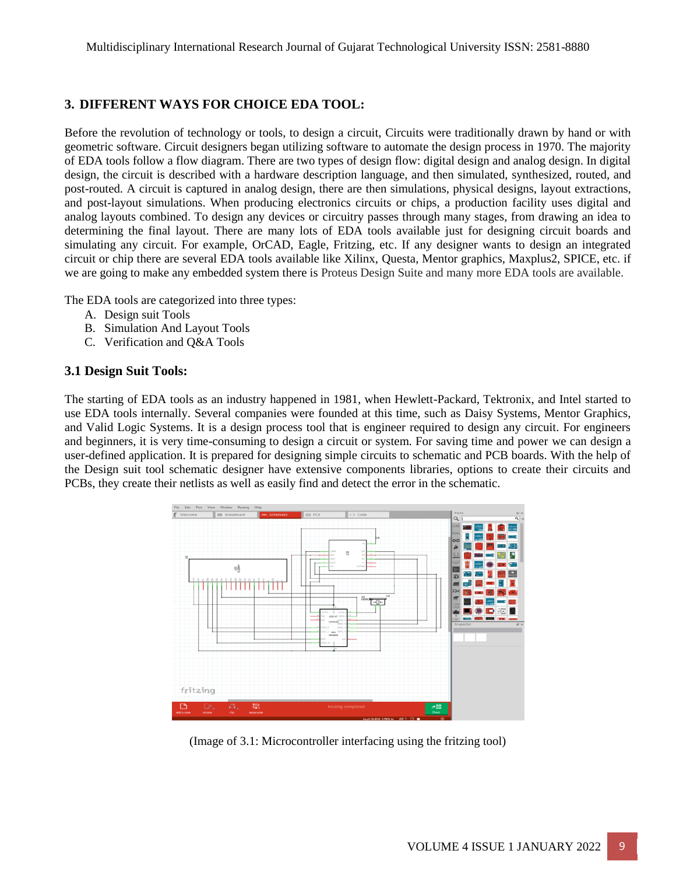# **3. DIFFERENT WAYS FOR CHOICE EDA TOOL:**

Before the revolution of technology or tools, to design a circuit, Circuits were traditionally drawn by hand or with geometric software. Circuit designers began utilizing software to automate the design process in 1970. The majority of EDA tools follow a flow diagram. There are two types of design flow: digital design and analog design. In digital design, the circuit is described with a hardware description language, and then simulated, synthesized, routed, and post-routed. A circuit is captured in analog design, there are then simulations, physical designs, layout extractions, and post-layout simulations. When producing electronics circuits or chips, a production facility uses digital and analog layouts combined. To design any devices or circuitry passes through many stages, from drawing an idea to determining the final layout. There are many lots of EDA tools available just for designing circuit boards and simulating any circuit. For example, OrCAD, Eagle, Fritzing, etc. If any designer wants to design an integrated circuit or chip there are several EDA tools available like Xilinx, Questa, Mentor graphics, Maxplus2, SPICE, etc. if we are going to make any embedded system there is Proteus Design Suite and many more EDA tools are available.

The EDA tools are categorized into three types:

- A. Design suit Tools
- B. Simulation And Layout Tools
- C. Verification and Q&A Tools

#### **3.1 Design Suit Tools:**

The starting of EDA tools as an industry happened in 1981, when Hewlett-Packard, Tektronix, and Intel started to use EDA tools internally. Several companies were founded at this time, such as Daisy Systems, Mentor Graphics, and Valid Logic Systems. It is a design process tool that is engineer required to design any circuit. For engineers and beginners, it is very time-consuming to design a circuit or system. For saving time and power we can design a user-defined application. It is prepared for designing simple circuits to schematic and PCB boards. With the help of the Design suit tool schematic designer have extensive components libraries, options to create their circuits and PCBs, they create their netlists as well as easily find and detect the error in the schematic.



(Image of 3.1: Microcontroller interfacing using the fritzing tool)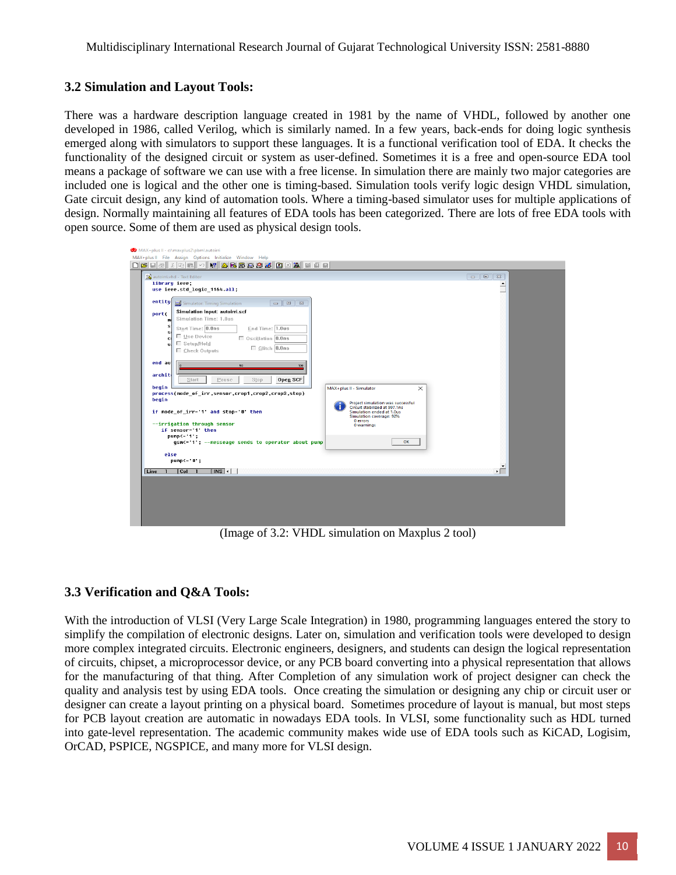#### **3.2 Simulation and Layout Tools:**

There was a hardware description language created in 1981 by the name of VHDL, followed by another one developed in 1986, called Verilog, which is similarly named. In a few years, back-ends for doing logic synthesis emerged along with simulators to support these languages. It is a functional verification tool of EDA. It checks the functionality of the designed circuit or system as user-defined. Sometimes it is a free and open-source EDA tool means a package of software we can use with a free license. In simulation there are mainly two major categories are included one is logical and the other one is timing-based. Simulation tools verify logic design VHDL simulation, Gate circuit design, any kind of automation tools. Where a timing-based simulator uses for multiple applications of design. Normally maintaining all features of EDA tools has been categorized. There are lots of free EDA tools with open source. Some of them are used as physical design tools.

| use ieee.std_logic_1164.all;<br>entity<br>$\Box$ $\Box$<br>Simulator: Timing Simulation<br>$\Box$                                |                                                                                                                                         |                      |
|----------------------------------------------------------------------------------------------------------------------------------|-----------------------------------------------------------------------------------------------------------------------------------------|----------------------|
| Simulation Input: autoirri.scf<br>port(<br>Simulation Time: 1.0us<br>m<br>s<br>Start Time: 0.0ns<br>End Time: 1.0us              |                                                                                                                                         |                      |
| .SI<br>Use Device<br>Oscillation 0.0ns<br>c.<br>$\Box$ Setup/Hold<br>ыI<br>$\Box$ Glitch $0.0$ ns<br>□ Check Outputs             |                                                                                                                                         |                      |
| end auf<br>50<br>100<br>archit                                                                                                   |                                                                                                                                         |                      |
| Open SCF<br>Pause<br>Start<br>Stop<br>begin<br>process(mode of irr, sensor, crop1, crop2, crop3, stop)                           | MAX+plus II - Simulator<br>$\times$                                                                                                     |                      |
| begin<br>if mode of irr-'1' and stop-'0' then                                                                                    | Project simulation was successful<br>Circuit stabilized at 997.1ns<br>Simulation ended at 1.0us<br>Simulation coverage: 92%<br>0 errors |                      |
| --irrigation through sensor<br>if sensor='1' then<br>$pump \leftarrow '1$ ;<br>gsm<='1'; --messeage sends to operator about pump | 0 warnings<br>OK                                                                                                                        |                      |
| else<br>$pump<='0$ ;                                                                                                             |                                                                                                                                         | $\blacktriangledown$ |
| $\sqrt{MS}$ +<br>$\overline{1}$<br>$ $ Col<br>Line<br>- 1                                                                        |                                                                                                                                         | ▸┌                   |

(Image of 3.2: VHDL simulation on Maxplus 2 tool)

# **3.3 Verification and Q&A Tools:**

With the introduction of VLSI (Very Large Scale Integration) in 1980, programming languages entered the story to simplify the compilation of electronic designs. Later on, simulation and verification tools were developed to design more complex integrated circuits. Electronic engineers, designers, and students can design the logical representation of circuits, chipset, a microprocessor device, or any PCB board converting into a physical representation that allows for the manufacturing of that thing. After Completion of any simulation work of project designer can check the quality and analysis test by using EDA tools. Once creating the simulation or designing any chip or circuit user or designer can create a layout printing on a physical board. Sometimes procedure of layout is manual, but most steps for PCB layout creation are automatic in nowadays EDA tools. In VLSI, some functionality such as HDL turned into gate-level representation. The academic community makes wide use of EDA tools such as KiCAD, Logisim, OrCAD, PSPICE, NGSPICE, and many more for VLSI design.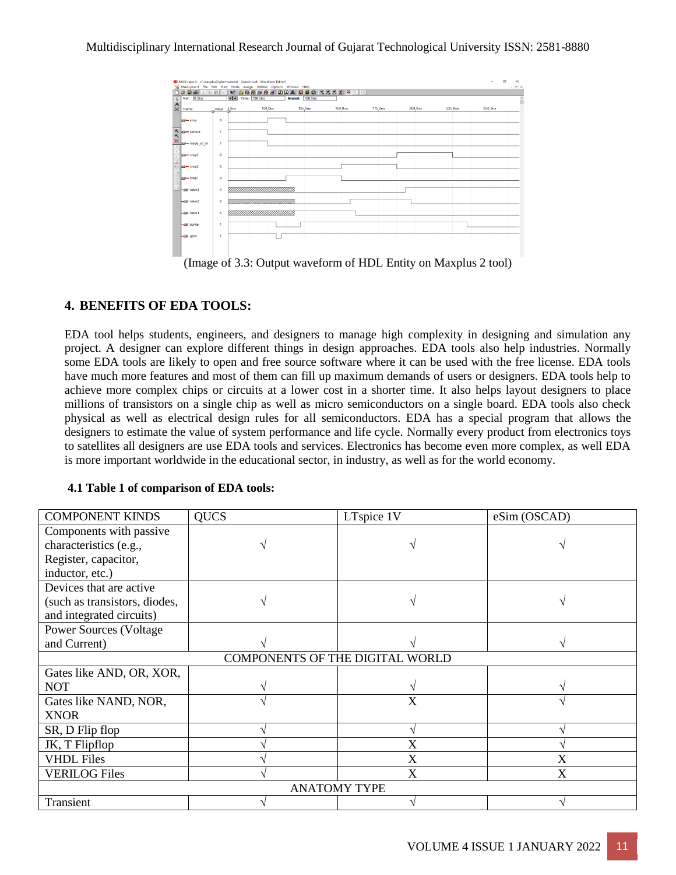

(Image of 3.3: Output waveform of HDL Entity on Maxplus 2 tool)

# **4. BENEFITS OF EDA TOOLS:**

EDA tool helps students, engineers, and designers to manage high complexity in designing and simulation any project. A designer can explore different things in design approaches. EDA tools also help industries. Normally some EDA tools are likely to open and free source software where it can be used with the free license. EDA tools have much more features and most of them can fill up maximum demands of users or designers. EDA tools help to achieve more complex chips or circuits at a lower cost in a shorter time. It also helps layout designers to place millions of transistors on a single chip as well as micro semiconductors on a single board. EDA tools also check physical as well as electrical design rules for all semiconductors. EDA has a special program that allows the designers to estimate the value of system performance and life cycle. Normally every product from electronics toys to satellites all designers are use EDA tools and services. Electronics has become even more complex, as well EDA is more important worldwide in the educational sector, in industry, as well as for the world economy.

| <b>COMPONENT KINDS</b>          | <b>QUCS</b> | LTspice 1V | eSim (OSCAD) |  |  |
|---------------------------------|-------------|------------|--------------|--|--|
| Components with passive         |             |            |              |  |  |
| characteristics (e.g.,          |             |            |              |  |  |
| Register, capacitor,            |             |            |              |  |  |
| inductor, etc.)                 |             |            |              |  |  |
| Devices that are active         |             |            |              |  |  |
| (such as transistors, diodes,   |             |            |              |  |  |
| and integrated circuits)        |             |            |              |  |  |
| <b>Power Sources (Voltage)</b>  |             |            |              |  |  |
| and Current)                    |             |            |              |  |  |
| COMPONENTS OF THE DIGITAL WORLD |             |            |              |  |  |
| Gates like AND, OR, XOR,        |             |            |              |  |  |
| <b>NOT</b>                      |             |            |              |  |  |
| Gates like NAND, NOR,           |             | X          |              |  |  |
| <b>XNOR</b>                     |             |            |              |  |  |
| SR, D Flip flop                 |             |            |              |  |  |
| JK, T Flipflop                  |             | X          |              |  |  |
| <b>VHDL Files</b>               |             | X          | X            |  |  |
| <b>VERILOG Files</b>            |             | X          | X            |  |  |
| <b>ANATOMY TYPE</b>             |             |            |              |  |  |
| Transient                       |             |            |              |  |  |

#### **4.1 Table 1 of comparison of EDA tools:**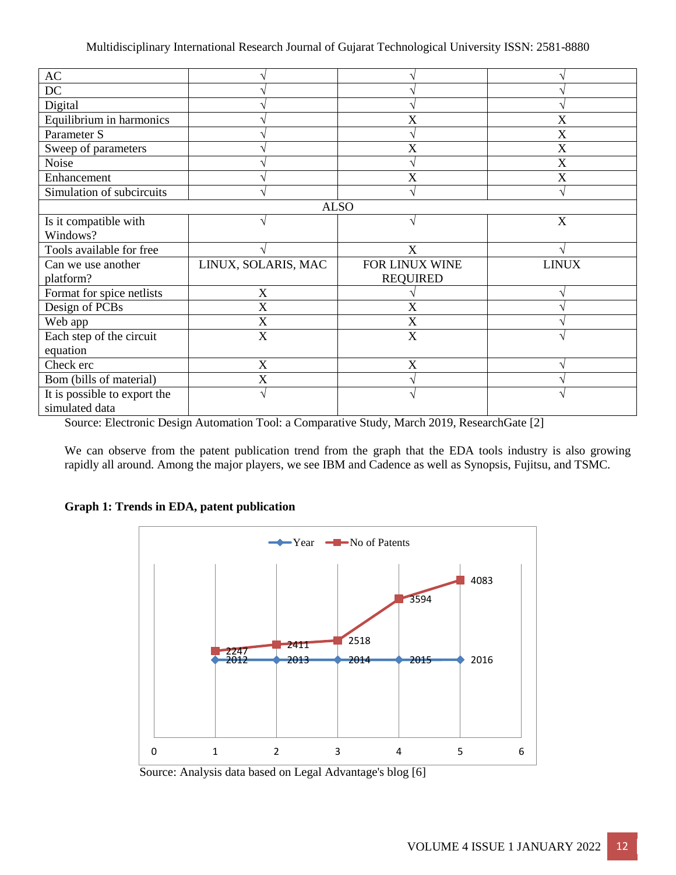|                           | X               | X            |  |  |  |
|---------------------------|-----------------|--------------|--|--|--|
|                           |                 | X            |  |  |  |
|                           | X               | X            |  |  |  |
|                           |                 | X            |  |  |  |
|                           | X               | X            |  |  |  |
|                           |                 |              |  |  |  |
| <b>ALSO</b>               |                 |              |  |  |  |
|                           | $\mathcal{A}$   | $\mathbf X$  |  |  |  |
|                           |                 |              |  |  |  |
|                           | X               |              |  |  |  |
| LINUX, SOLARIS, MAC       | FOR LINUX WINE  | <b>LINUX</b> |  |  |  |
|                           | <b>REQUIRED</b> |              |  |  |  |
| X                         |                 |              |  |  |  |
| X                         | X               |              |  |  |  |
| X                         | X               |              |  |  |  |
| $\boldsymbol{\mathrm{X}}$ | X               |              |  |  |  |
|                           |                 |              |  |  |  |
| X                         | X               |              |  |  |  |
| X                         |                 |              |  |  |  |
| V                         |                 |              |  |  |  |
|                           |                 |              |  |  |  |
|                           |                 |              |  |  |  |

Source: Electronic Design Automation Tool: a Comparative Study, March 2019, ResearchGate [2]

We can observe from the patent publication trend from the graph that the EDA tools industry is also growing rapidly all around. Among the major players, we see IBM and Cadence as well as Synopsis, Fujitsu, and TSMC.

#### **Graph 1: Trends in EDA, patent publication**



Source: Analysis data based on Legal Advantage's blog [6]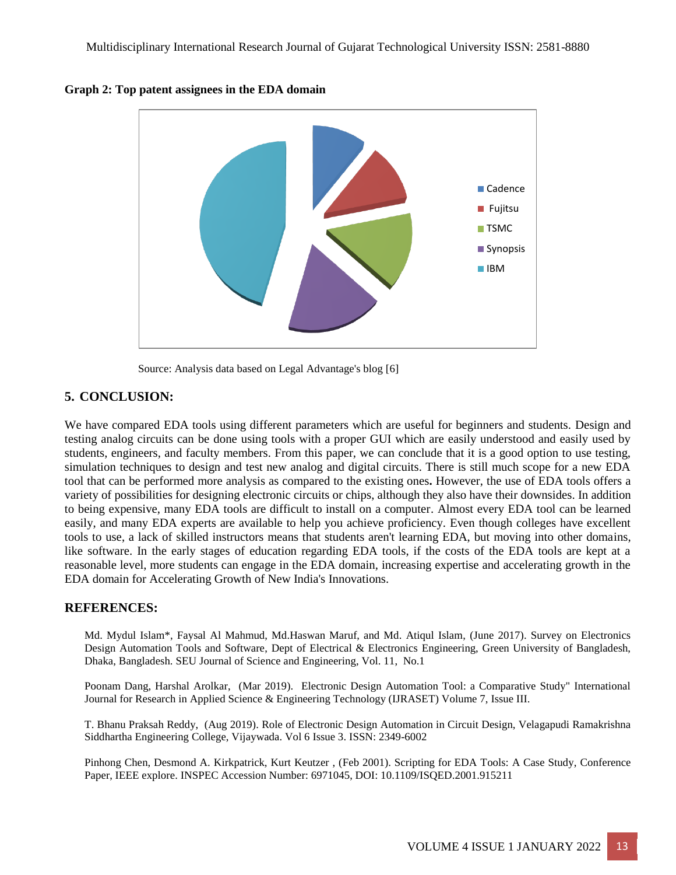

**Graph 2: Top patent assignees in the EDA domain**

Source: Analysis data based on Legal Advantage's blog [6]

# **5. CONCLUSION:**

We have compared EDA tools using different parameters which are useful for beginners and students. Design and testing analog circuits can be done using tools with a proper GUI which are easily understood and easily used by students, engineers, and faculty members. From this paper, we can conclude that it is a good option to use testing, simulation techniques to design and test new analog and digital circuits. There is still much scope for a new EDA tool that can be performed more analysis as compared to the existing ones**.** However, the use of EDA tools offers a variety of possibilities for designing electronic circuits or chips, although they also have their downsides. In addition to being expensive, many EDA tools are difficult to install on a computer. Almost every EDA tool can be learned easily, and many EDA experts are available to help you achieve proficiency. Even though colleges have excellent tools to use, a lack of skilled instructors means that students aren't learning EDA, but moving into other domains, like software. In the early stages of education regarding EDA tools, if the costs of the EDA tools are kept at a reasonable level, more students can engage in the EDA domain, increasing expertise and accelerating growth in the EDA domain for Accelerating Growth of New India's Innovations.

# **REFERENCES:**

Md. Mydul Islam\*, Faysal Al Mahmud, Md.Haswan Maruf, and Md. Atiqul Islam, (June 2017). Survey on Electronics Design Automation Tools and Software, Dept of Electrical & Electronics Engineering, Green University of Bangladesh, Dhaka, Bangladesh. SEU Journal of Science and Engineering, Vol. 11, No.1

Poonam Dang, Harshal Arolkar, (Mar 2019). Electronic Design Automation Tool: a Comparative Study" International Journal for Research in Applied Science & Engineering Technology (IJRASET) Volume 7, Issue III.

T. Bhanu Praksah Reddy, (Aug 2019). Role of Electronic Design Automation in Circuit Design, Velagapudi Ramakrishna Siddhartha Engineering College, Vijaywada. Vol 6 Issue 3. ISSN: 2349-6002

Pinhong Chen, Desmond A. Kirkpatrick, Kurt Keutzer , (Feb 2001). Scripting for EDA Tools: A Case Study, Conference Paper, IEEE explore. INSPEC Accession Number: 6971045, DOI: 10.1109/ISQED.2001.915211